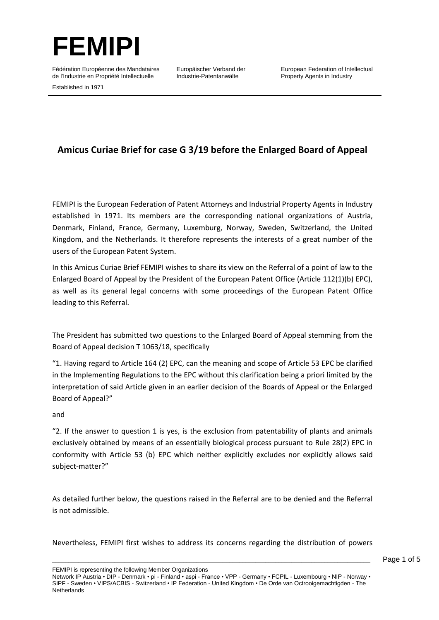

Fédération Européenne des Mandataires de l'Industrie en Propriété Intellectuelle

Europäischer Verband der Industrie-Patentanwälte

European Federation of Intellectual Property Agents in Industry

Established in 1971

## **Amicus Curiae Brief for case G 3/19 before the Enlarged Board of Appeal**

FEMIPI is the European Federation of Patent Attorneys and Industrial Property Agents in Industry established in 1971. Its members are the corresponding national organizations of Austria, Denmark, Finland, France, Germany, Luxemburg, Norway, Sweden, Switzerland, the United Kingdom, and the Netherlands. It therefore represents the interests of a great number of the users of the European Patent System.

In this Amicus Curiae Brief FEMIPI wishes to share its view on the Referral of a point of law to the Enlarged Board of Appeal by the President of the European Patent Office (Article 112(1)(b) EPC), as well as its general legal concerns with some proceedings of the European Patent Office leading to this Referral.

The President has submitted two questions to the Enlarged Board of Appeal stemming from the Board of Appeal decision T 1063/18, specifically

"1. Having regard to Article 164 (2) EPC, can the meaning and scope of Article 53 EPC be clarified in the Implementing Regulations to the EPC without this clarification being a priori limited by the interpretation of said Article given in an earlier decision of the Boards of Appeal or the Enlarged Board of Appeal?"

## and

"2. If the answer to question 1 is yes, is the exclusion from patentability of plants and animals exclusively obtained by means of an essentially biological process pursuant to Rule 28(2) EPC in conformity with Article 53 (b) EPC which neither explicitly excludes nor explicitly allows said subject-matter?"

As detailed further below, the questions raised in the Referral are to be denied and the Referral is not admissible.

Nevertheless, FEMIPI first wishes to address its concerns regarding the distribution of powers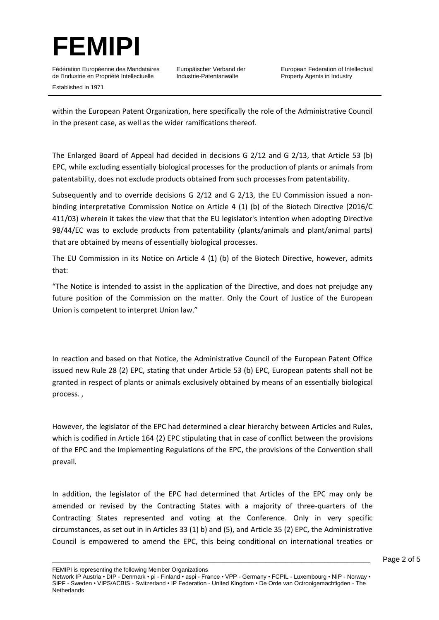

Fédération Européenne des Mandataires de l'Industrie en Propriété Intellectuelle

Europäischer Verband der Industrie-Patentanwälte

Established in 1971

within the European Patent Organization, here specifically the role of the Administrative Council in the present case, as well as the wider ramifications thereof.

The Enlarged Board of Appeal had decided in decisions G 2/12 and G 2/13, that Article 53 (b) EPC, while excluding essentially biological processes for the production of plants or animals from patentability, does not exclude products obtained from such processes from patentability.

Subsequently and to override decisions G 2/12 and G 2/13, the EU Commission issued a nonbinding interpretative Commission Notice on Article 4 (1) (b) of the Biotech Directive (2016/C 411/03) wherein it takes the view that that the EU legislator's intention when adopting Directive 98/44/EC was to exclude products from patentability (plants/animals and plant/animal parts) that are obtained by means of essentially biological processes.

The EU Commission in its Notice on Article 4 (1) (b) of the Biotech Directive, however, admits that:

"The Notice is intended to assist in the application of the Directive, and does not prejudge any future position of the Commission on the matter. Only the Court of Justice of the European Union is competent to interpret Union law."

In reaction and based on that Notice, the Administrative Council of the European Patent Office issued new Rule 28 (2) EPC, stating that under Article 53 (b) EPC, European patents shall not be granted in respect of plants or animals exclusively obtained by means of an essentially biological process. ,

However, the legislator of the EPC had determined a clear hierarchy between Articles and Rules, which is codified in Article 164 (2) EPC stipulating that in case of conflict between the provisions of the EPC and the Implementing Regulations of the EPC, the provisions of the Convention shall prevail.

In addition, the legislator of the EPC had determined that Articles of the EPC may only be amended or revised by the Contracting States with a majority of three-quarters of the Contracting States represented and voting at the Conference. Only in very specific circumstances, as set out in in Articles 33 (1) b) and (5), and Article 35 (2) EPC, the Administrative Council is empowered to amend the EPC, this being conditional on international treaties or

FEMIPI is representing the following Member Organizations

Network IP Austria • DIP - Denmark • pi - Finland • aspi - France • VPP - Germany • FCPIL - Luxembourg • NIP - Norway • SIPF - Sweden • VIPS/ACBIS - Switzerland • IP Federation - United Kingdom • De Orde van Octrooigemachtigden - The **Netherlands**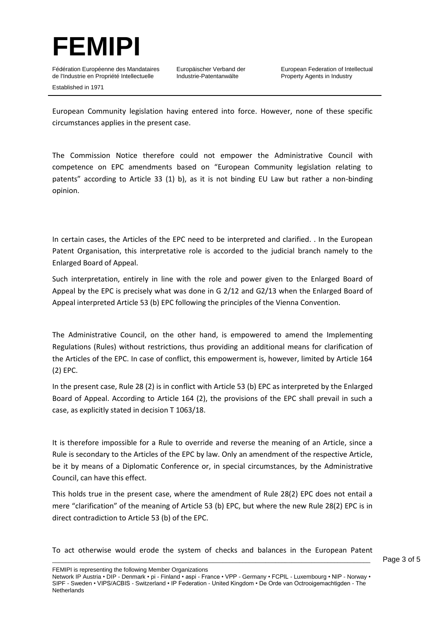

Fédération Européenne des Mandataires de l'Industrie en Propriété Intellectuelle Established in 1971

Europäischer Verband der Industrie-Patentanwälte

European Federation of Intellectual Property Agents in Industry

European Community legislation having entered into force. However, none of these specific circumstances applies in the present case.

The Commission Notice therefore could not empower the Administrative Council with competence on EPC amendments based on "European Community legislation relating to patents" according to Article 33 (1) b), as it is not binding EU Law but rather a non-binding opinion.

In certain cases, the Articles of the EPC need to be interpreted and clarified. . In the European Patent Organisation, this interpretative role is accorded to the judicial branch namely to the Enlarged Board of Appeal.

Such interpretation, entirely in line with the role and power given to the Enlarged Board of Appeal by the EPC is precisely what was done in G 2/12 and G2/13 when the Enlarged Board of Appeal interpreted Article 53 (b) EPC following the principles of the Vienna Convention.

The Administrative Council, on the other hand, is empowered to amend the Implementing Regulations (Rules) without restrictions, thus providing an additional means for clarification of the Articles of the EPC. In case of conflict, this empowerment is, however, limited by Article 164 (2) EPC.

In the present case, Rule 28 (2) is in conflict with Article 53 (b) EPC as interpreted by the Enlarged Board of Appeal. According to Article 164 (2), the provisions of the EPC shall prevail in such a case, as explicitly stated in decision T 1063/18.

It is therefore impossible for a Rule to override and reverse the meaning of an Article, since a Rule is secondary to the Articles of the EPC by law. Only an amendment of the respective Article, be it by means of a Diplomatic Conference or, in special circumstances, by the Administrative Council, can have this effect.

This holds true in the present case, where the amendment of Rule 28(2) EPC does not entail a mere "clarification" of the meaning of Article 53 (b) EPC, but where the new Rule 28(2) EPC is in direct contradiction to Article 53 (b) of the EPC.

 $\_$  ,  $\_$  ,  $\_$  ,  $\_$  ,  $\_$  ,  $\_$  ,  $\_$  ,  $\_$  ,  $\_$  ,  $\_$  ,  $\_$  ,  $\_$  ,  $\_$  ,  $\_$  ,  $\_$  ,  $\_$  ,  $\_$  ,  $\_$  ,  $\_$  ,  $\_$  ,  $\_$  ,  $\_$  ,  $\_$  ,  $\_$  ,  $\_$  ,  $\_$  ,  $\_$  ,  $\_$  ,  $\_$  ,  $\_$  ,  $\_$  ,  $\_$  ,  $\_$  ,  $\_$  ,  $\_$  ,  $\_$  ,  $\_$  , To act otherwise would erode the system of checks and balances in the European Patent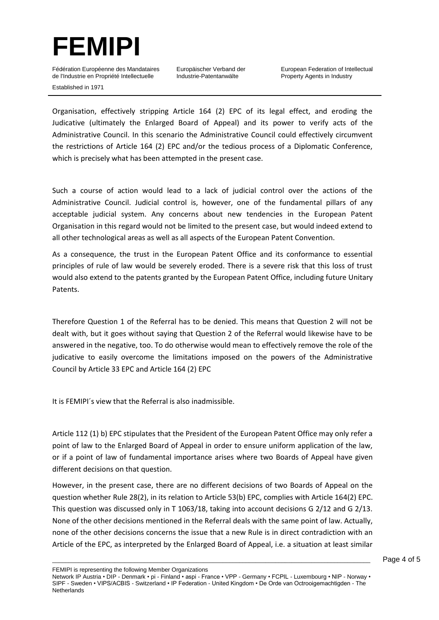

Fédération Européenne des Mandataires de l'Industrie en Propriété Intellectuelle Established in 1971

Europäischer Verband der Industrie-Patentanwälte

European Federation of Intellectual Property Agents in Industry

Organisation, effectively stripping Article 164 (2) EPC of its legal effect, and eroding the Judicative (ultimately the Enlarged Board of Appeal) and its power to verify acts of the Administrative Council. In this scenario the Administrative Council could effectively circumvent the restrictions of Article 164 (2) EPC and/or the tedious process of a Diplomatic Conference, which is precisely what has been attempted in the present case.

Such a course of action would lead to a lack of judicial control over the actions of the Administrative Council. Judicial control is, however, one of the fundamental pillars of any acceptable judicial system. Any concerns about new tendencies in the European Patent Organisation in this regard would not be limited to the present case, but would indeed extend to all other technological areas as well as all aspects of the European Patent Convention.

As a consequence, the trust in the European Patent Office and its conformance to essential principles of rule of law would be severely eroded. There is a severe risk that this loss of trust would also extend to the patents granted by the European Patent Office, including future Unitary Patents.

Therefore Question 1 of the Referral has to be denied. This means that Question 2 will not be dealt with, but it goes without saying that Question 2 of the Referral would likewise have to be answered in the negative, too. To do otherwise would mean to effectively remove the role of the judicative to easily overcome the limitations imposed on the powers of the Administrative Council by Article 33 EPC and Article 164 (2) EPC

It is FEMIPI´s view that the Referral is also inadmissible.

Article 112 (1) b) EPC stipulates that the President of the European Patent Office may only refer a point of law to the Enlarged Board of Appeal in order to ensure uniform application of the law, or if a point of law of fundamental importance arises where two Boards of Appeal have given different decisions on that question.

However, in the present case, there are no different decisions of two Boards of Appeal on the question whether Rule 28(2), in its relation to Article 53(b) EPC, complies with Article 164(2) EPC. This question was discussed only in T 1063/18, taking into account decisions G 2/12 and G 2/13. None of the other decisions mentioned in the Referral deals with the same point of law. Actually, none of the other decisions concerns the issue that a new Rule is in direct contradiction with an Article of the EPC, as interpreted by the Enlarged Board of Appeal, i.e. a situation at least similar